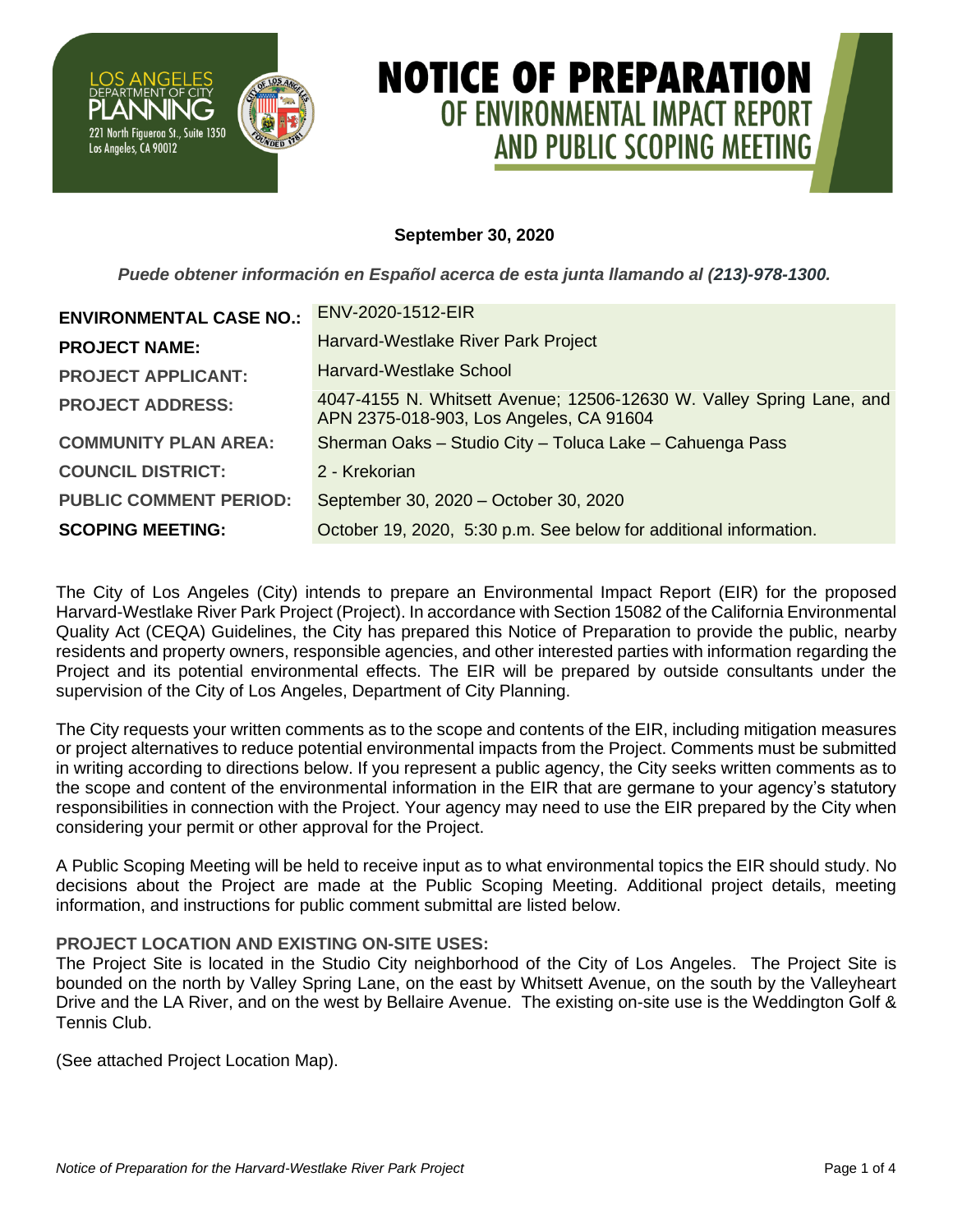

# **NOTICE OF PREPARATION** OF ENVIRONMENTAL IMPACT REPORT AND PUBLIC SCOPING MEETING

# **September 30, 2020**

*Puede obtener información en Español acerca de esta junta llamando al (213)-978-1300.*

| <b>ENVIRONMENTAL CASE NO.:</b> | ENV-2020-1512-EIR                                                                                               |
|--------------------------------|-----------------------------------------------------------------------------------------------------------------|
| <b>PROJECT NAME:</b>           | Harvard-Westlake River Park Project                                                                             |
| <b>PROJECT APPLICANT:</b>      | Harvard-Westlake School                                                                                         |
| <b>PROJECT ADDRESS:</b>        | 4047-4155 N. Whitsett Avenue; 12506-12630 W. Valley Spring Lane, and<br>APN 2375-018-903, Los Angeles, CA 91604 |
| <b>COMMUNITY PLAN AREA:</b>    | Sherman Oaks - Studio City - Toluca Lake - Cahuenga Pass                                                        |
| <b>COUNCIL DISTRICT:</b>       | 2 - Krekorian                                                                                                   |
| <b>PUBLIC COMMENT PERIOD:</b>  | September 30, 2020 – October 30, 2020                                                                           |
| <b>SCOPING MEETING:</b>        | October 19, 2020, 5:30 p.m. See below for additional information.                                               |

The City of Los Angeles (City) intends to prepare an Environmental Impact Report (EIR) for the proposed Harvard-Westlake River Park Project (Project). In accordance with Section 15082 of the California Environmental Quality Act (CEQA) Guidelines, the City has prepared this Notice of Preparation to provide the public, nearby residents and property owners, responsible agencies, and other interested parties with information regarding the Project and its potential environmental effects. The EIR will be prepared by outside consultants under the supervision of the City of Los Angeles, Department of City Planning.

The City requests your written comments as to the scope and contents of the EIR, including mitigation measures or project alternatives to reduce potential environmental impacts from the Project. Comments must be submitted in writing according to directions below. If you represent a public agency, the City seeks written comments as to the scope and content of the environmental information in the EIR that are germane to your agency's statutory responsibilities in connection with the Project. Your agency may need to use the EIR prepared by the City when considering your permit or other approval for the Project.

A Public Scoping Meeting will be held to receive input as to what environmental topics the EIR should study. No decisions about the Project are made at the Public Scoping Meeting. Additional project details, meeting information, and instructions for public comment submittal are listed below.

# **PROJECT LOCATION AND EXISTING ON-SITE USES:**

The Project Site is located in the Studio City neighborhood of the City of Los Angeles. The Project Site is bounded on the north by Valley Spring Lane, on the east by Whitsett Avenue, on the south by the Valleyheart Drive and the LA River, and on the west by Bellaire Avenue. The existing on-site use is the Weddington Golf & Tennis Club.

(See attached Project Location Map).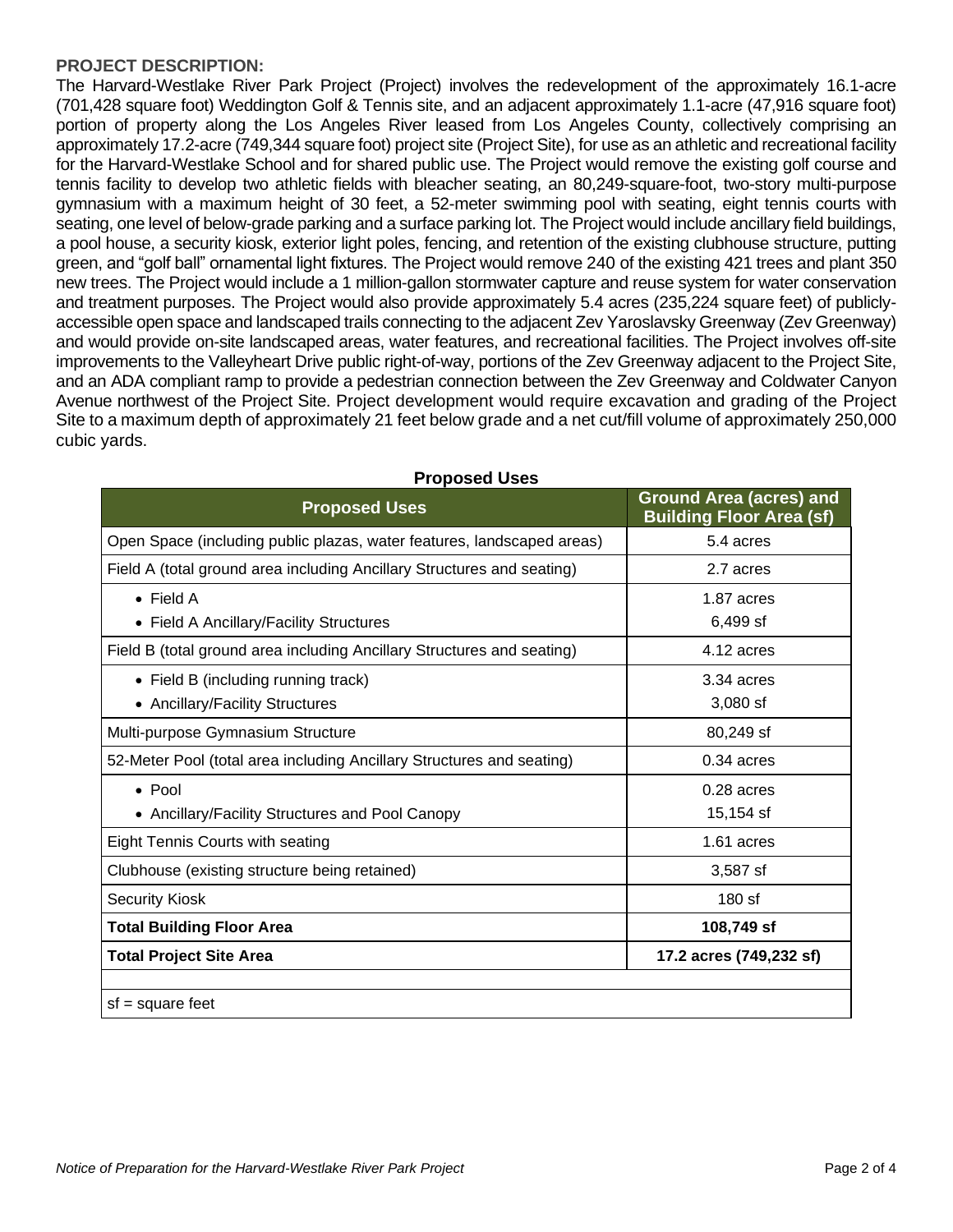#### **PROJECT DESCRIPTION:**

The Harvard-Westlake River Park Project (Project) involves the redevelopment of the approximately 16.1-acre (701,428 square foot) Weddington Golf & Tennis site, and an adjacent approximately 1.1-acre (47,916 square foot) portion of property along the Los Angeles River leased from Los Angeles County, collectively comprising an approximately 17.2-acre (749,344 square foot) project site (Project Site), for use as an athletic and recreational facility for the Harvard-Westlake School and for shared public use. The Project would remove the existing golf course and tennis facility to develop two athletic fields with bleacher seating, an 80,249-square-foot, two-story multi-purpose gymnasium with a maximum height of 30 feet, a 52-meter swimming pool with seating, eight tennis courts with seating, one level of below-grade parking and a surface parking lot. The Project would include ancillary field buildings, a pool house, a security kiosk, exterior light poles, fencing, and retention of the existing clubhouse structure, putting green, and "golf ball" ornamental light fixtures. The Project would remove 240 of the existing 421 trees and plant 350 new trees. The Project would include a 1 million-gallon stormwater capture and reuse system for water conservation and treatment purposes. The Project would also provide approximately 5.4 acres (235,224 square feet) of publiclyaccessible open space and landscaped trails connecting to the adjacent Zev Yaroslavsky Greenway (Zev Greenway) and would provide on-site landscaped areas, water features, and recreational facilities. The Project involves off-site improvements to the Valleyheart Drive public right-of-way, portions of the Zev Greenway adjacent to the Project Site, and an ADA compliant ramp to provide a pedestrian connection between the Zev Greenway and Coldwater Canyon Avenue northwest of the Project Site. Project development would require excavation and grading of the Project Site to a maximum depth of approximately 21 feet below grade and a net cut/fill volume of approximately 250,000 cubic yards.

| <b>Proposed Uses</b>                                                   | <b>Ground Area (acres) and</b><br><b>Building Floor Area (sf)</b> |
|------------------------------------------------------------------------|-------------------------------------------------------------------|
| Open Space (including public plazas, water features, landscaped areas) | 5.4 acres                                                         |
| Field A (total ground area including Ancillary Structures and seating) | 2.7 acres                                                         |
| $\bullet$ Field A                                                      | 1.87 acres                                                        |
| • Field A Ancillary/Facility Structures                                | 6,499 sf                                                          |
| Field B (total ground area including Ancillary Structures and seating) | 4.12 acres                                                        |
| • Field B (including running track)                                    | 3.34 acres                                                        |
| • Ancillary/Facility Structures                                        | $3,080$ sf                                                        |
| Multi-purpose Gymnasium Structure                                      | 80,249 sf                                                         |
| 52-Meter Pool (total area including Ancillary Structures and seating)  | $0.34$ acres                                                      |
| $\bullet$ Pool                                                         | $0.28$ acres                                                      |
| • Ancillary/Facility Structures and Pool Canopy                        | 15,154 sf                                                         |
| <b>Eight Tennis Courts with seating</b>                                | 1.61 acres                                                        |
| Clubhouse (existing structure being retained)                          | 3,587 sf                                                          |
| <b>Security Kiosk</b>                                                  | $180$ sf                                                          |
| <b>Total Building Floor Area</b>                                       | 108,749 sf                                                        |
| <b>Total Project Site Area</b>                                         | 17.2 acres (749,232 sf)                                           |
| $sf = square feet$                                                     |                                                                   |

#### **Proposed Uses**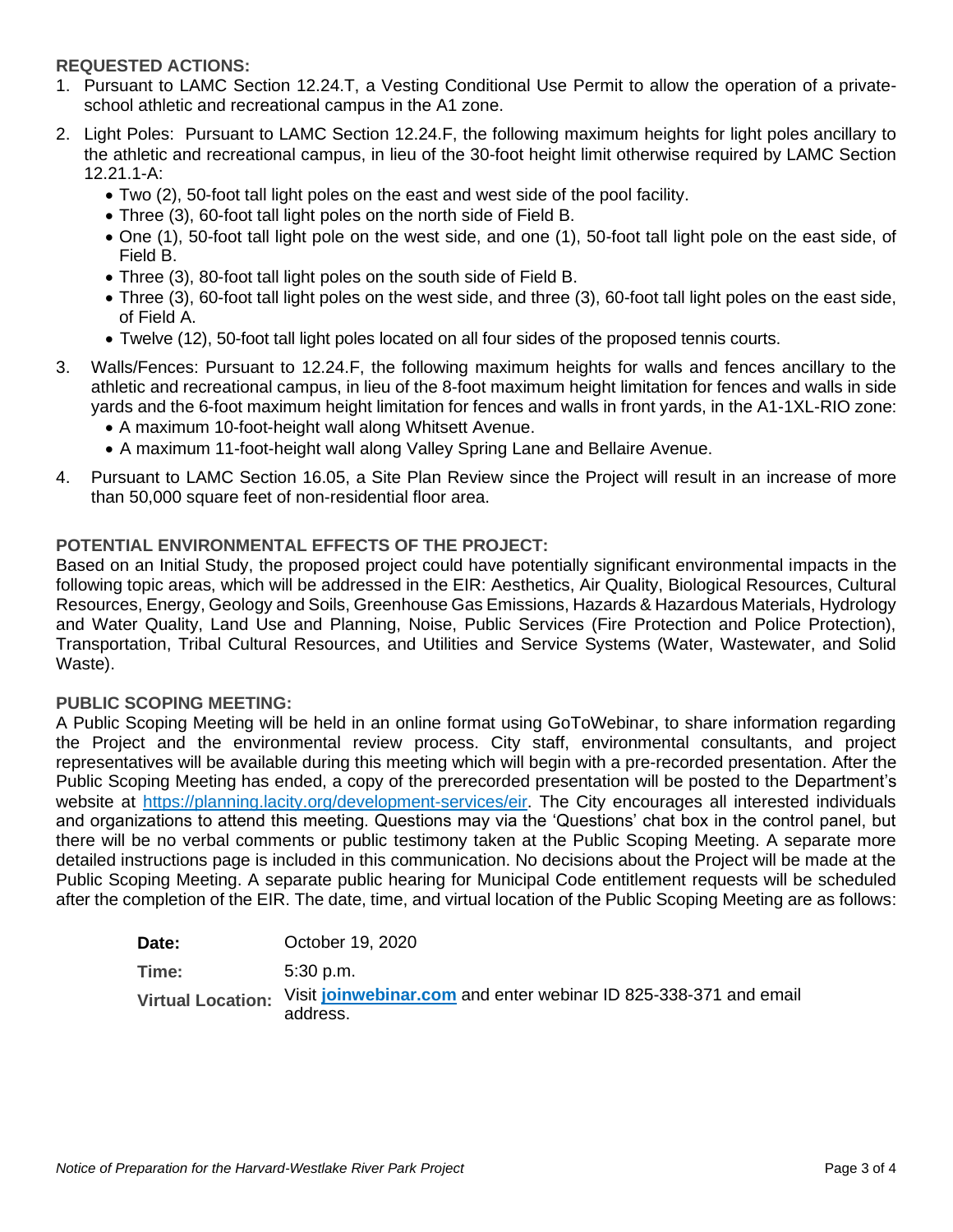# **REQUESTED ACTIONS:**

- 1. Pursuant to LAMC Section 12.24.T, a Vesting Conditional Use Permit to allow the operation of a privateschool athletic and recreational campus in the A1 zone.
- 2. Light Poles: Pursuant to LAMC Section 12.24.F, the following maximum heights for light poles ancillary to the athletic and recreational campus, in lieu of the 30-foot height limit otherwise required by LAMC Section 12.21.1-A:
	- Two (2), 50-foot tall light poles on the east and west side of the pool facility.
	- Three (3), 60-foot tall light poles on the north side of Field B.
	- One (1), 50-foot tall light pole on the west side, and one (1), 50-foot tall light pole on the east side, of Field B.
	- Three (3), 80-foot tall light poles on the south side of Field B.
	- Three (3), 60-foot tall light poles on the west side, and three (3), 60-foot tall light poles on the east side, of Field A.
	- Twelve (12), 50-foot tall light poles located on all four sides of the proposed tennis courts.
- 3. Walls/Fences: Pursuant to 12.24.F, the following maximum heights for walls and fences ancillary to the athletic and recreational campus, in lieu of the 8-foot maximum height limitation for fences and walls in side yards and the 6-foot maximum height limitation for fences and walls in front yards, in the A1-1XL-RIO zone:
	- A maximum 10-foot-height wall along Whitsett Avenue.
	- A maximum 11-foot-height wall along Valley Spring Lane and Bellaire Avenue.
- 4. Pursuant to LAMC Section 16.05, a Site Plan Review since the Project will result in an increase of more than 50,000 square feet of non-residential floor area.

# **POTENTIAL ENVIRONMENTAL EFFECTS OF THE PROJECT:**

Based on an Initial Study, the proposed project could have potentially significant environmental impacts in the following topic areas, which will be addressed in the EIR: Aesthetics, Air Quality, Biological Resources, Cultural Resources, Energy, Geology and Soils, Greenhouse Gas Emissions, Hazards & Hazardous Materials, Hydrology and Water Quality, Land Use and Planning, Noise, Public Services (Fire Protection and Police Protection), Transportation, Tribal Cultural Resources, and Utilities and Service Systems (Water, Wastewater, and Solid Waste).

# **PUBLIC SCOPING MEETING:**

A Public Scoping Meeting will be held in an online format using GoToWebinar, to share information regarding the Project and the environmental review process. City staff, environmental consultants, and project representatives will be available during this meeting which will begin with a pre-recorded presentation. After the Public Scoping Meeting has ended, a copy of the prerecorded presentation will be posted to the Department's website at [https://planning.lacity.org/development-services/eir.](https://planning.lacity.org/development-services/eir) The City encourages all interested individuals and organizations to attend this meeting. Questions may via the 'Questions' chat box in the control panel, but there will be no verbal comments or public testimony taken at the Public Scoping Meeting. A separate more detailed instructions page is included in this communication. No decisions about the Project will be made at the Public Scoping Meeting. A separate public hearing for Municipal Code entitlement requests will be scheduled after the completion of the EIR. The date, time, and virtual location of the Public Scoping Meeting are as follows:

| Date: | October 19, 2020                                                                               |
|-------|------------------------------------------------------------------------------------------------|
| Time: | .5:30 p.m.                                                                                     |
|       | Virtual Location: Visit joinwebinar.com and enter webinar ID 825-338-371 and email<br>address. |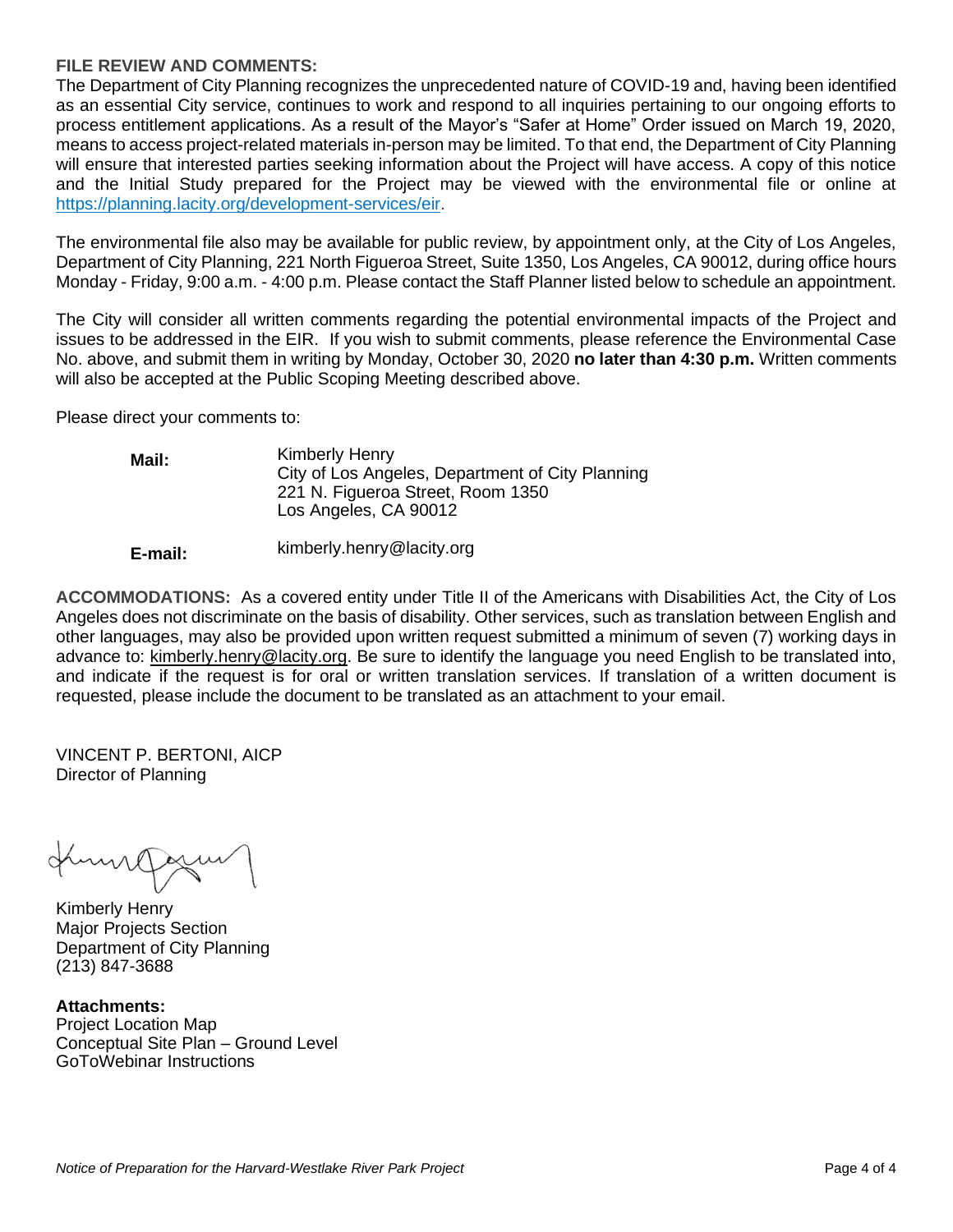#### **FILE REVIEW AND COMMENTS:**

The Department of City Planning recognizes the unprecedented nature of COVID-19 and, having been identified as an essential City service, continues to work and respond to all inquiries pertaining to our ongoing efforts to process entitlement applications. As a result of the Mayor's "Safer at Home" Order issued on March 19, 2020, means to access project-related materials in-person may be limited. To that end, the Department of City Planning will ensure that interested parties seeking information about the Project will have access. A copy of this notice and the Initial Study prepared for the Project may be viewed with the environmental file or online at [https://planning.lacity.org/development-services/eir.](https://planning.lacity.org/development-services/eir)

The environmental file also may be available for public review, by appointment only, at the City of Los Angeles, Department of City Planning, 221 North Figueroa Street, Suite 1350, Los Angeles, CA 90012, during office hours Monday - Friday, 9:00 a.m. - 4:00 p.m. Please contact the Staff Planner listed below to schedule an appointment.

The City will consider all written comments regarding the potential environmental impacts of the Project and issues to be addressed in the EIR. If you wish to submit comments, please reference the Environmental Case No. above, and submit them in writing by Monday, October 30, 2020 **no later than 4:30 p.m.** Written comments will also be accepted at the Public Scoping Meeting described above.

Please direct your comments to:

| Mail: | Kimberly Henry<br>City of Los Angeles, Department of City Planning |
|-------|--------------------------------------------------------------------|
|       | 221 N. Figueroa Street, Room 1350                                  |
|       | Los Angeles, CA 90012                                              |

#### **E-mail:** kimberly.henry@lacity.org

**ACCOMMODATIONS:** As a covered entity under Title II of the Americans with Disabilities Act, the City of Los Angeles does not discriminate on the basis of disability. Other services, such as translation between English and other languages, may also be provided upon written request submitted a minimum of seven (7) working days in advance to: kimberly.henry@lacity.org. Be sure to identify the language you need English to be translated into, and indicate if the request is for oral or written translation services. If translation of a written document is requested, please include the document to be translated as an attachment to your email.

VINCENT P. BERTONI, AICP Director of Planning

milles

Kimberly Henry Major Projects Section Department of City Planning (213) 847-3688

**Attachments:** Project Location Map Conceptual Site Plan – Ground Level GoToWebinar Instructions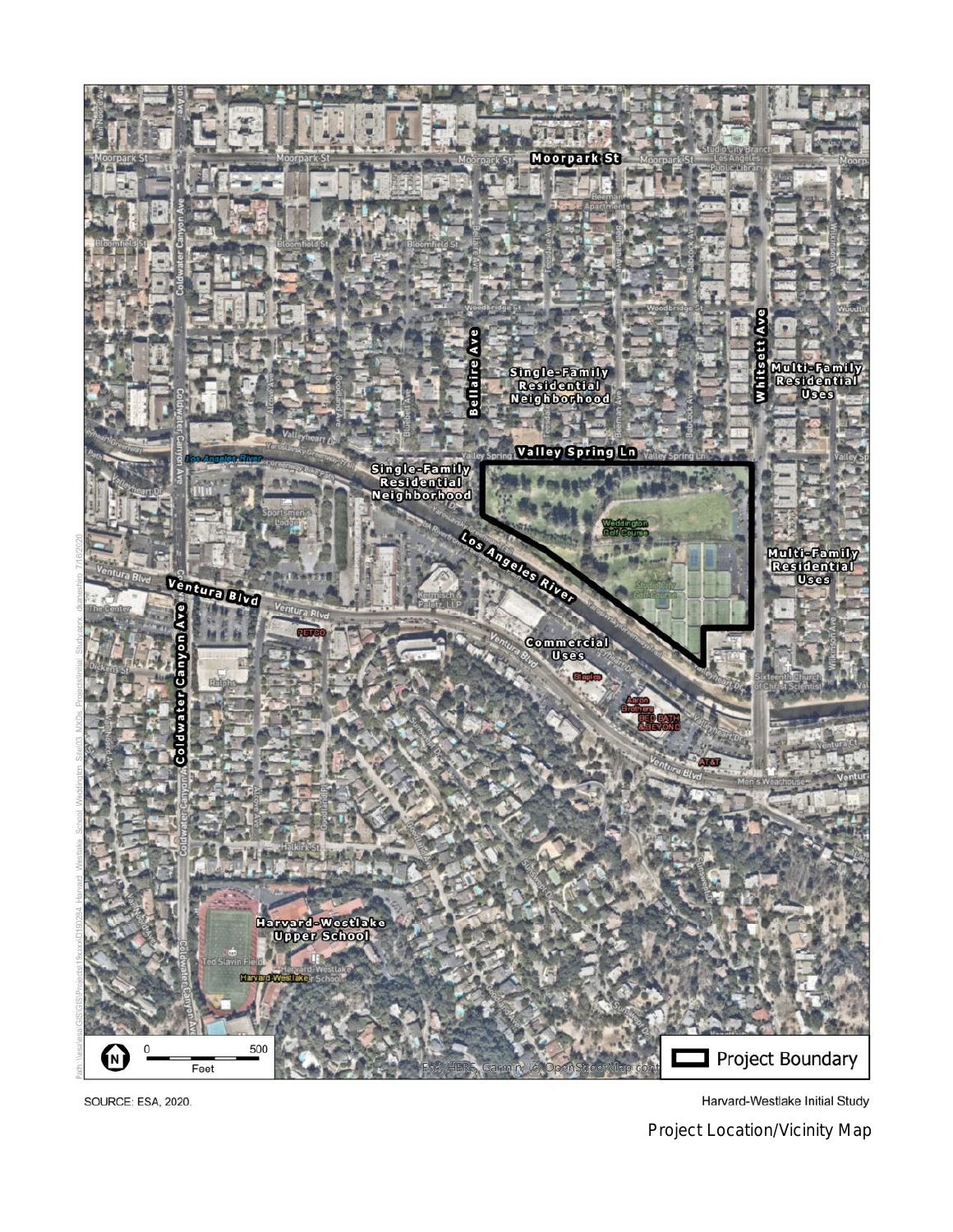

SOURCE: ESA, 2020.

Harvard-Westlake Initial Study

Project Location/Vicinity Map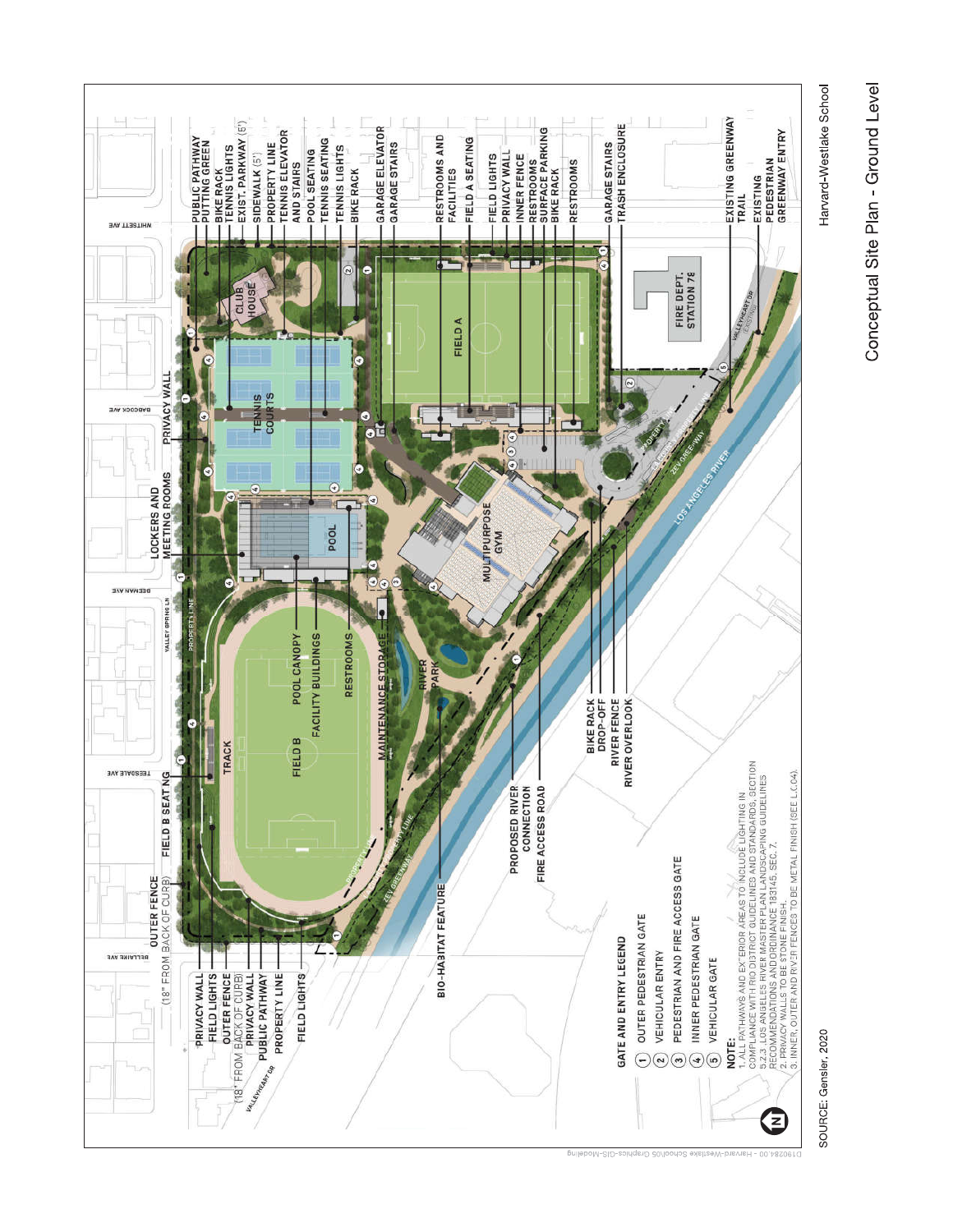

SOURCE: Gensler, 2020